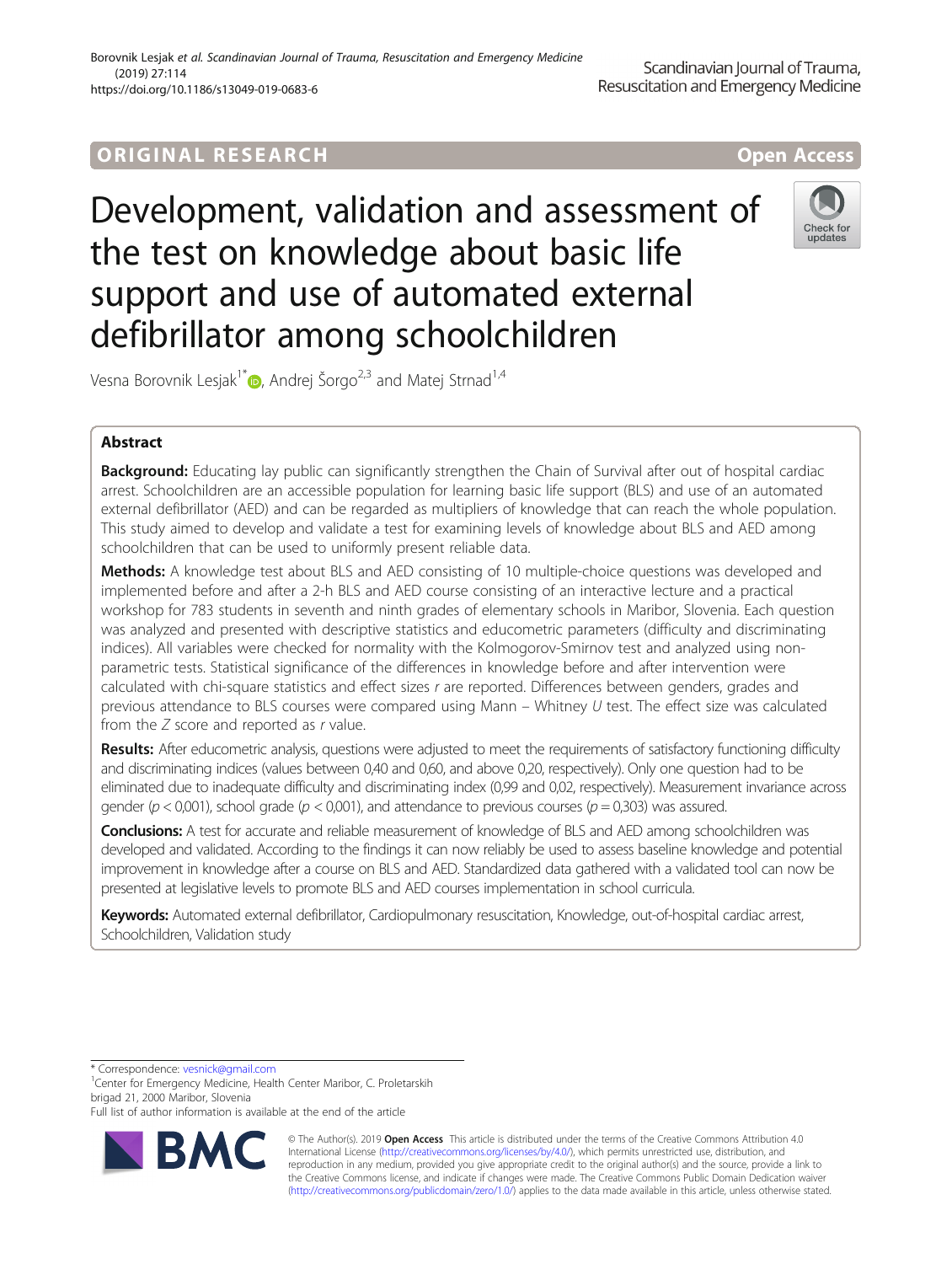# ORIGINA L R E S EA RCH Open Access

Development, validation and assessment of the test on knowledge about basic life support and use of automated external defibrillator among schoolchildren



Vesna Borovnik Lesjak<sup>1\*</sup>  $\bullet$ [,](http://orcid.org/0000-0002-5416-7266) Andrej Šorgo<sup>2,3</sup> and Matej Strnad<sup>1,4</sup>

## Abstract

**Background:** Educating lay public can significantly strengthen the Chain of Survival after out of hospital cardiac arrest. Schoolchildren are an accessible population for learning basic life support (BLS) and use of an automated external defibrillator (AED) and can be regarded as multipliers of knowledge that can reach the whole population. This study aimed to develop and validate a test for examining levels of knowledge about BLS and AED among schoolchildren that can be used to uniformly present reliable data.

**Methods:** A knowledge test about BLS and AED consisting of 10 multiple-choice questions was developed and implemented before and after a 2-h BLS and AED course consisting of an interactive lecture and a practical workshop for 783 students in seventh and ninth grades of elementary schools in Maribor, Slovenia. Each question was analyzed and presented with descriptive statistics and educometric parameters (difficulty and discriminating indices). All variables were checked for normality with the Kolmogorov-Smirnov test and analyzed using nonparametric tests. Statistical significance of the differences in knowledge before and after intervention were calculated with chi-square statistics and effect sizes r are reported. Differences between genders, grades and previous attendance to BLS courses were compared using Mann – Whitney U test. The effect size was calculated from the  $Z$  score and reported as  $r$  value.

Results: After educometric analysis, questions were adjusted to meet the requirements of satisfactory functioning difficulty and discriminating indices (values between 0,40 and 0,60, and above 0,20, respectively). Only one question had to be eliminated due to inadequate difficulty and discriminating index (0,99 and 0,02, respectively). Measurement invariance across gender ( $p < 0.001$ ), school grade ( $p < 0.001$ ), and attendance to previous courses ( $p = 0.303$ ) was assured.

Conclusions: A test for accurate and reliable measurement of knowledge of BLS and AED among schoolchildren was developed and validated. According to the findings it can now reliably be used to assess baseline knowledge and potential improvement in knowledge after a course on BLS and AED. Standardized data gathered with a validated tool can now be presented at legislative levels to promote BLS and AED courses implementation in school curricula.

Keywords: Automated external defibrillator, Cardiopulmonary resuscitation, Knowledge, out-of-hospital cardiac arrest, Schoolchildren, Validation study

\* Correspondence: [vesnick@gmail.com](mailto:vesnick@gmail.com) <sup>1</sup>

<sup>1</sup> Center for Emergency Medicine, Health Center Maribor, C. Proletarskih brigad 21, 2000 Maribor, Slovenia

Full list of author information is available at the end of the article



© The Author(s). 2019 **Open Access** This article is distributed under the terms of the Creative Commons Attribution 4.0 International License [\(http://creativecommons.org/licenses/by/4.0/](http://creativecommons.org/licenses/by/4.0/)), which permits unrestricted use, distribution, and reproduction in any medium, provided you give appropriate credit to the original author(s) and the source, provide a link to the Creative Commons license, and indicate if changes were made. The Creative Commons Public Domain Dedication waiver [\(http://creativecommons.org/publicdomain/zero/1.0/](http://creativecommons.org/publicdomain/zero/1.0/)) applies to the data made available in this article, unless otherwise stated.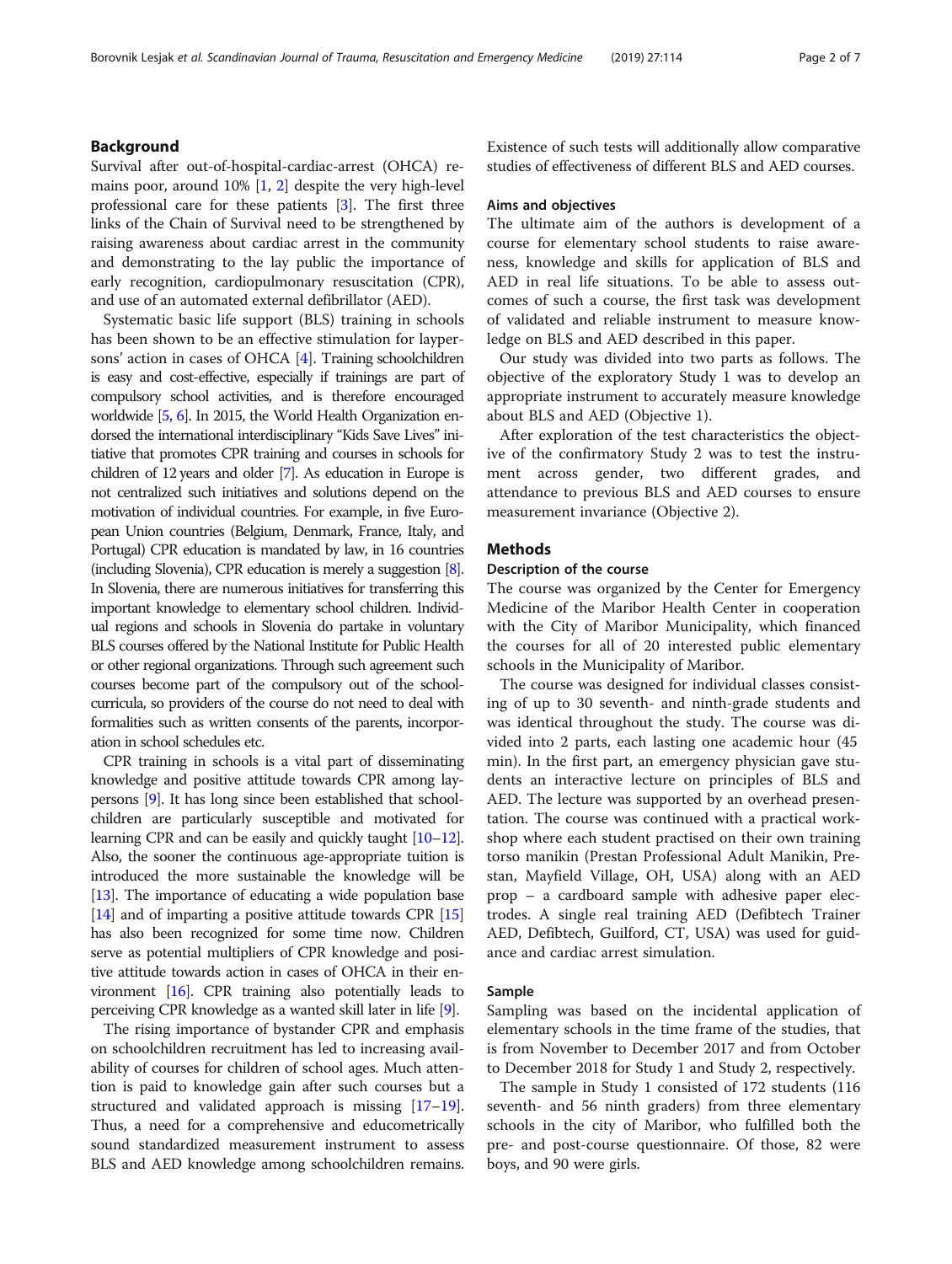## Background

Survival after out-of-hospital-cardiac-arrest (OHCA) remains poor, around 10% [[1,](#page-5-0) [2\]](#page-6-0) despite the very high-level professional care for these patients [\[3\]](#page-6-0). The first three links of the Chain of Survival need to be strengthened by raising awareness about cardiac arrest in the community and demonstrating to the lay public the importance of early recognition, cardiopulmonary resuscitation (CPR), and use of an automated external defibrillator (AED).

Systematic basic life support (BLS) training in schools has been shown to be an effective stimulation for laypersons' action in cases of OHCA [[4\]](#page-6-0). Training schoolchildren is easy and cost-effective, especially if trainings are part of compulsory school activities, and is therefore encouraged worldwide [\[5,](#page-6-0) [6](#page-6-0)]. In 2015, the World Health Organization endorsed the international interdisciplinary "Kids Save Lives" initiative that promotes CPR training and courses in schools for children of 12 years and older [\[7\]](#page-6-0). As education in Europe is not centralized such initiatives and solutions depend on the motivation of individual countries. For example, in five European Union countries (Belgium, Denmark, France, Italy, and Portugal) CPR education is mandated by law, in 16 countries (including Slovenia), CPR education is merely a suggestion [\[8\]](#page-6-0). In Slovenia, there are numerous initiatives for transferring this important knowledge to elementary school children. Individual regions and schools in Slovenia do partake in voluntary BLS courses offered by the National Institute for Public Health or other regional organizations. Through such agreement such courses become part of the compulsory out of the schoolcurricula, so providers of the course do not need to deal with formalities such as written consents of the parents, incorporation in school schedules etc.

CPR training in schools is a vital part of disseminating knowledge and positive attitude towards CPR among laypersons [\[9\]](#page-6-0). It has long since been established that schoolchildren are particularly susceptible and motivated for learning CPR and can be easily and quickly taught [[10](#page-6-0)–[12](#page-6-0)]. Also, the sooner the continuous age-appropriate tuition is introduced the more sustainable the knowledge will be [[13](#page-6-0)]. The importance of educating a wide population base [[14](#page-6-0)] and of imparting a positive attitude towards CPR [\[15](#page-6-0)] has also been recognized for some time now. Children serve as potential multipliers of CPR knowledge and positive attitude towards action in cases of OHCA in their environment [[16](#page-6-0)]. CPR training also potentially leads to perceiving CPR knowledge as a wanted skill later in life [[9](#page-6-0)].

The rising importance of bystander CPR and emphasis on schoolchildren recruitment has led to increasing availability of courses for children of school ages. Much attention is paid to knowledge gain after such courses but a structured and validated approach is missing [\[17](#page-6-0)–[19](#page-6-0)]. Thus, a need for a comprehensive and educometrically sound standardized measurement instrument to assess BLS and AED knowledge among schoolchildren remains. Existence of such tests will additionally allow comparative studies of effectiveness of different BLS and AED courses.

### Aims and objectives

The ultimate aim of the authors is development of a course for elementary school students to raise awareness, knowledge and skills for application of BLS and AED in real life situations. To be able to assess outcomes of such a course, the first task was development of validated and reliable instrument to measure knowledge on BLS and AED described in this paper.

Our study was divided into two parts as follows. The objective of the exploratory Study 1 was to develop an appropriate instrument to accurately measure knowledge about BLS and AED (Objective 1).

After exploration of the test characteristics the objective of the confirmatory Study 2 was to test the instrument across gender, two different grades, and attendance to previous BLS and AED courses to ensure measurement invariance (Objective 2).

### **Methods**

#### Description of the course

The course was organized by the Center for Emergency Medicine of the Maribor Health Center in cooperation with the City of Maribor Municipality, which financed the courses for all of 20 interested public elementary schools in the Municipality of Maribor.

The course was designed for individual classes consisting of up to 30 seventh- and ninth-grade students and was identical throughout the study. The course was divided into 2 parts, each lasting one academic hour (45 min). In the first part, an emergency physician gave students an interactive lecture on principles of BLS and AED. The lecture was supported by an overhead presentation. The course was continued with a practical workshop where each student practised on their own training torso manikin (Prestan Professional Adult Manikin, Prestan, Mayfield Village, OH, USA) along with an AED prop – a cardboard sample with adhesive paper electrodes. A single real training AED (Defibtech Trainer AED, Defibtech, Guilford, CT, USA) was used for guidance and cardiac arrest simulation.

#### Sample

Sampling was based on the incidental application of elementary schools in the time frame of the studies, that is from November to December 2017 and from October to December 2018 for Study 1 and Study 2, respectively.

The sample in Study 1 consisted of 172 students (116 seventh- and 56 ninth graders) from three elementary schools in the city of Maribor, who fulfilled both the pre- and post-course questionnaire. Of those, 82 were boys, and 90 were girls.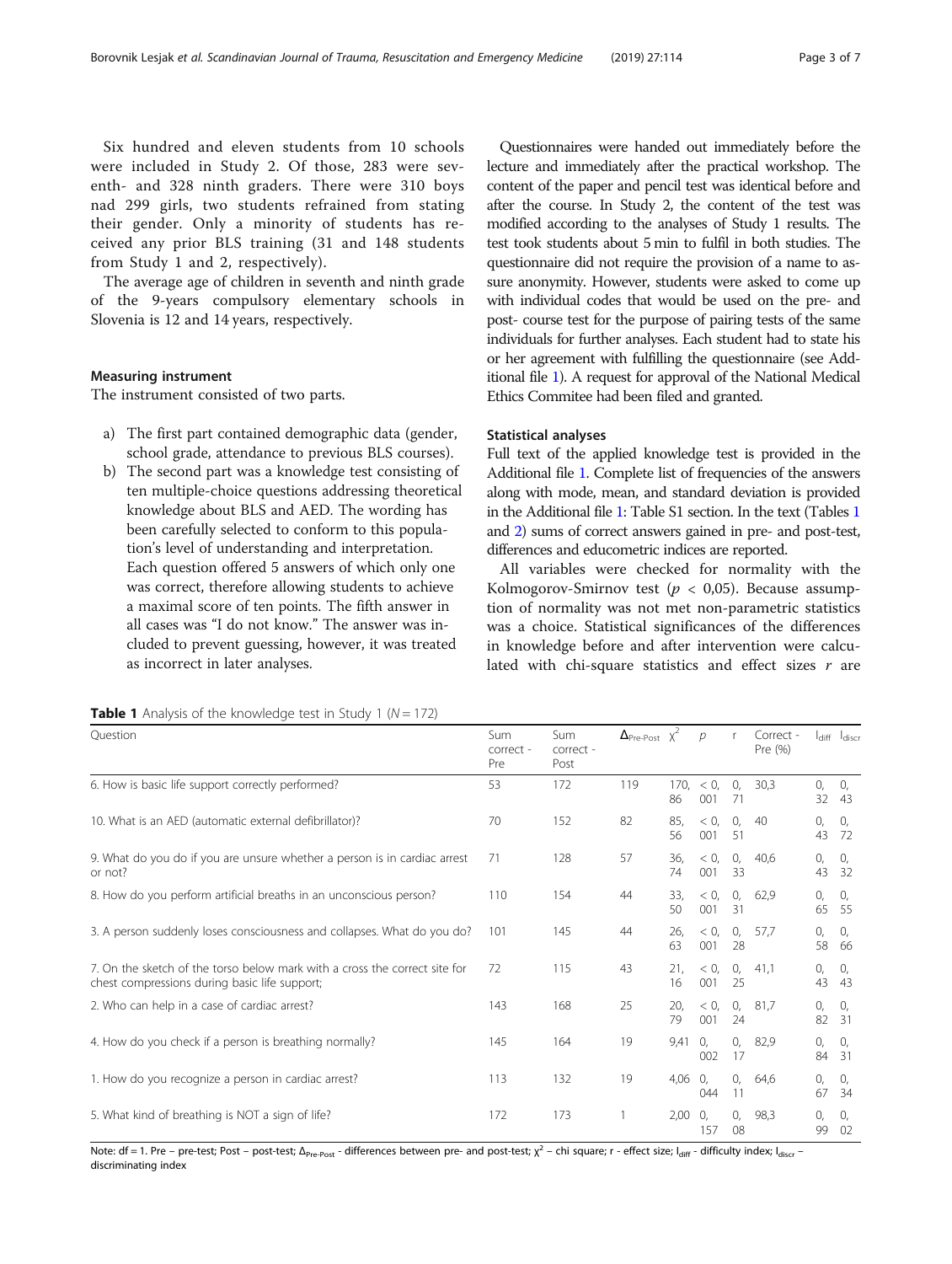<span id="page-2-0"></span>Six hundred and eleven students from 10 schools were included in Study 2. Of those, 283 were seventh- and 328 ninth graders. There were 310 boys nad 299 girls, two students refrained from stating their gender. Only a minority of students has received any prior BLS training (31 and 148 students from Study 1 and 2, respectively).

The average age of children in seventh and ninth grade of the 9-years compulsory elementary schools in Slovenia is 12 and 14 years, respectively.

#### Measuring instrument

The instrument consisted of two parts.

- a) The first part contained demographic data (gender, school grade, attendance to previous BLS courses).
- b) The second part was a knowledge test consisting of ten multiple-choice questions addressing theoretical knowledge about BLS and AED. The wording has been carefully selected to conform to this population's level of understanding and interpretation. Each question offered 5 answers of which only one was correct, therefore allowing students to achieve a maximal score of ten points. The fifth answer in all cases was "I do not know." The answer was included to prevent guessing, however, it was treated as incorrect in later analyses.

Questionnaires were handed out immediately before the lecture and immediately after the practical workshop. The content of the paper and pencil test was identical before and after the course. In Study 2, the content of the test was modified according to the analyses of Study 1 results. The test took students about 5 min to fulfil in both studies. The questionnaire did not require the provision of a name to assure anonymity. However, students were asked to come up with individual codes that would be used on the pre- and post- course test for the purpose of pairing tests of the same individuals for further analyses. Each student had to state his or her agreement with fulfilling the questionnaire (see Additional file [1\)](#page-5-0). A request for approval of the National Medical Ethics Commitee had been filed and granted.

#### Statistical analyses

Full text of the applied knowledge test is provided in the Additional file [1.](#page-5-0) Complete list of frequencies of the answers along with mode, mean, and standard deviation is provided in the Additional file [1](#page-5-0): Table S1 section. In the text (Tables 1 and [2\)](#page-3-0) sums of correct answers gained in pre- and post-test, differences and educometric indices are reported.

All variables were checked for normality with the Kolmogorov-Smirnov test ( $p < 0.05$ ). Because assumption of normality was not met non-parametric statistics was a choice. Statistical significances of the differences in knowledge before and after intervention were calculated with chi-square statistics and effect sizes  $r$  are

|  |  | <b>Table 1</b> Analysis of the knowledge test in Study 1 (N = 172) |  |  |  |
|--|--|--------------------------------------------------------------------|--|--|--|
|  |  |                                                                    |  |  |  |

| Ouestion                                                                                                                    | Sum<br>correct -<br>Pre | Sum<br>correct -<br>Post | $\Delta_{\text{Pre-Post}}$ $\chi^2$ |           | $\mathcal{D}$       | $\mathsf{r}$                       | Correct -<br>Pre (%) |          | l <sub>diff</sub> l <sub>disc</sub> |
|-----------------------------------------------------------------------------------------------------------------------------|-------------------------|--------------------------|-------------------------------------|-----------|---------------------|------------------------------------|----------------------|----------|-------------------------------------|
| 6. How is basic life support correctly performed?                                                                           | 53                      | 172                      | 119                                 | 86        | $170, < 0$ ,<br>001 | 0.<br>-71                          | 30,3                 | 0,<br>32 | 0,<br>-43                           |
| 10. What is an AED (automatic external defibrillator)?                                                                      | 70                      | 152                      | 82                                  | 85,<br>56 | < 0.<br>001         | $\mathbf{0}$ .<br>51               | 40                   | 0,<br>43 | 0,<br>72                            |
| 9. What do you do if you are unsure whether a person is in cardiac arrest<br>or not?                                        | 71                      | 128                      | 57                                  | 36,<br>74 | $< 0$ ,<br>001      | $\mathcal{O}$<br>33                | 40.6                 | 0,<br>43 | 0,<br>32                            |
| 8. How do you perform artificial breaths in an unconscious person?                                                          | 110                     | 154                      | 44                                  | 33,<br>50 | < 0.<br>001         | 0.<br>31                           | 62.9                 | 0,<br>65 | 0,<br>55                            |
| 3. A person suddenly loses consciousness and collapses. What do you do?                                                     | 101                     | 145                      | 44                                  | 26,<br>63 | < 0,<br>001         | $\mathcal{O}_{\mathfrak{c}}$<br>28 | 57,7                 | 0,<br>58 | $\mathbb{O}$<br>66                  |
| 7. On the sketch of the torso below mark with a cross the correct site for<br>chest compressions during basic life support; | 72                      | 115                      | 43                                  | 21,<br>16 | < 0,<br>001         | $\mathcal{O}$<br>25                | 41,1                 | 0,<br>43 | $\mathbb{O}$<br>43                  |
| 2. Who can help in a case of cardiac arrest?                                                                                | 143                     | 168                      | 25                                  | 20,<br>79 | $< 0$ ,<br>001      | $\mathcal{O}$<br>24                | 81.7                 | 0,<br>82 | 0,<br>31                            |
| 4. How do you check if a person is breathing normally?                                                                      | 145                     | 164                      | 19                                  | 9,41      | $\theta$ .<br>002   | 0,<br>17                           | 82,9                 | 0,<br>84 | 0,<br>31                            |
| 1. How do you recognize a person in cardiac arrest?                                                                         | 113                     | 132                      | 19                                  | 4,06      | $\circ$ .<br>044    | 0,<br>-11                          | 64,6                 | 0,<br>67 | $\mathbb{O}$<br>-34                 |
| 5. What kind of breathing is NOT a sign of life?                                                                            | 172                     | 173                      |                                     | 2,00      | 0,<br>157           | 0.<br>08                           | 98,3                 | 0,<br>99 | $\mathbb{O}$<br>02                  |

Note: df = 1. Pre – pre-test; Post – post-test;  $\Delta_{\text{Pre-Post}}$  - differences between pre- and post-test;  $\chi^2$  – chi square; r - effect size; l<sub>diff</sub> - difficulty index; l<sub>discr</sub> – discriminating index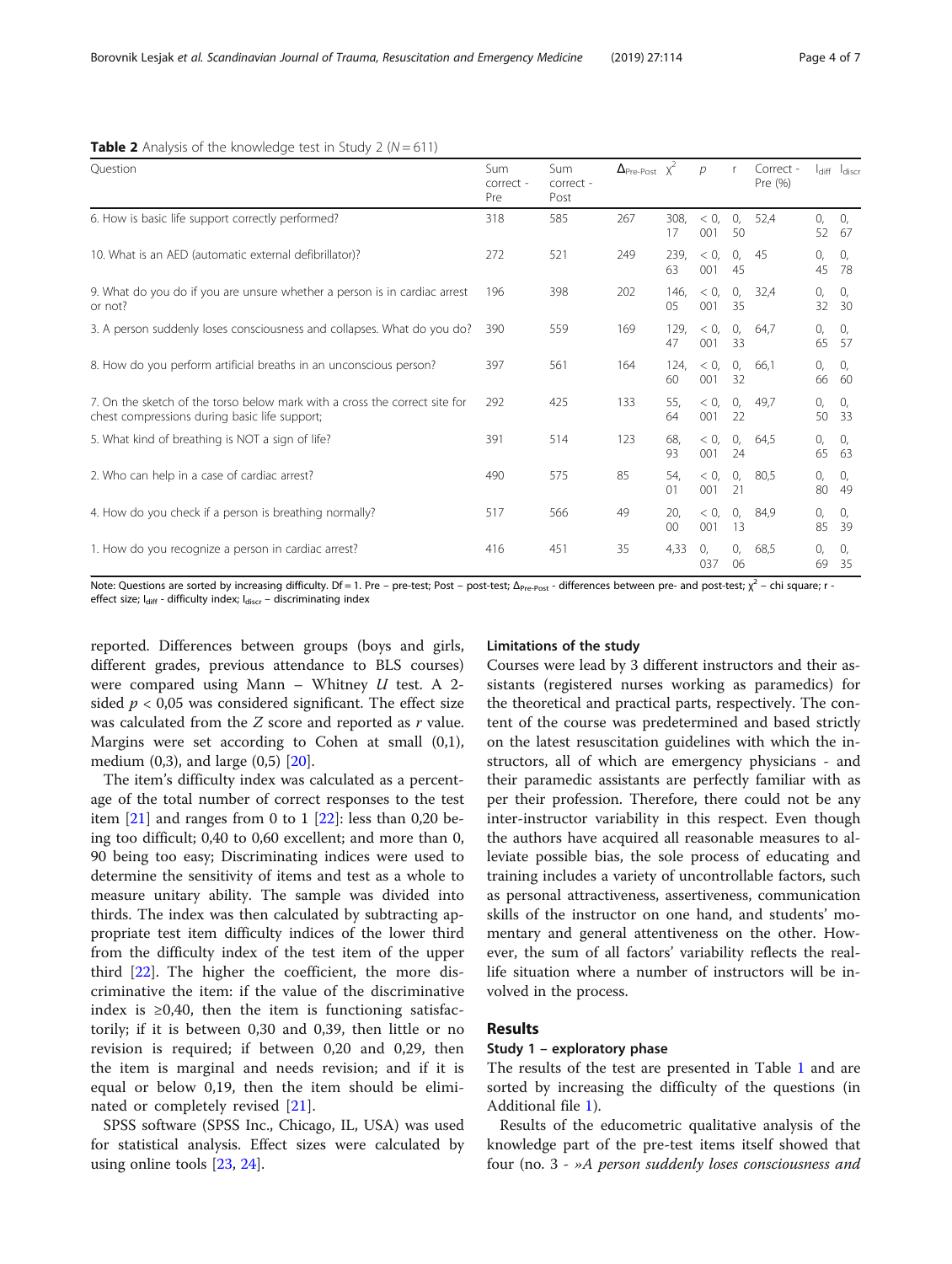#### <span id="page-3-0"></span>**Table 2** Analysis of the knowledge test in Study 2 ( $N = 611$ )

| Ouestion                                                                                                                    | <b>Sum</b><br>correct -<br>Pre | Sum<br>correct -<br>Post | $\Delta_{\text{Pre-Post}} \chi^2$ |               | $\mathcal{D}$                       | $\mathsf{r}$                       | Correct -<br>Pre (%) |          | l <sub>diff</sub> l <sub>discr</sub> |
|-----------------------------------------------------------------------------------------------------------------------------|--------------------------------|--------------------------|-----------------------------------|---------------|-------------------------------------|------------------------------------|----------------------|----------|--------------------------------------|
| 6. How is basic life support correctly performed?                                                                           | 318                            | 585                      | 267                               | 308,<br>17    | $< 0$ ,<br>001                      | $\mathbf{0}$ .<br>50               | 52,4                 | 0,<br>52 | $\mathcal{O}$<br>67                  |
| 10. What is an AED (automatic external defibrillator)?                                                                      | 272                            | 521                      | 249                               | 239,<br>63    | < 0.<br>001                         | 0.<br>45                           | 45                   | 0,<br>45 | 0,<br>-78                            |
| 9. What do you do if you are unsure whether a person is in cardiac arrest<br>or not?                                        | 196                            | 398                      | 202                               | 146,<br>05    | $< 0$ ,<br>001                      | 0.<br>35                           | 32,4                 | 0,<br>32 | 0,<br>- 30                           |
| 3. A person suddenly loses consciousness and collapses. What do you do?                                                     | 390                            | 559                      | 169                               | 129,<br>47    | < 0.<br>001                         | $\mathcal{O}$<br>33                | 64,7                 | 0,<br>65 | 0,<br>57                             |
| 8. How do you perform artificial breaths in an unconscious person?                                                          | 397                            | 561                      | 164                               | 124,<br>60    | < 0.<br>001                         | $\theta$ .<br>32                   | 66,1                 | 0,<br>66 | 0,<br>-60                            |
| 7. On the sketch of the torso below mark with a cross the correct site for<br>chest compressions during basic life support; | 292                            | 425                      | 133                               | 55,<br>64     | < 0.<br>001                         | $\mathcal{O}_{\mathfrak{p}}$<br>22 | 49,7                 | 0,<br>50 | 0,<br>-33                            |
| 5. What kind of breathing is NOT a sign of life?                                                                            | 391                            | 514                      | 123                               | 68,<br>93     | < 0.<br>001                         | $\circ$ .<br>24                    | 64.5                 | 0,<br>65 | 0,<br>63                             |
| 2. Who can help in a case of cardiac arrest?                                                                                | 490                            | 575                      | 85                                | 54,<br>01     | < 0.<br>001                         | $\circ$ .<br>21                    | 80,5                 | 0,<br>80 | $\mathbb{O}$<br>49                   |
| 4. How do you check if a person is breathing normally?                                                                      | 517                            | 566                      | 49                                | 20,<br>$00\,$ | < 0,<br>001                         | $\mathbf{0}$<br>13                 | 84,9                 | 0,<br>85 | $\mathbb{O}$<br>39                   |
| 1. How do you recognize a person in cardiac arrest?                                                                         | 416                            | 451                      | 35                                | 4,33          | $\mathcal{O}_{\mathfrak{c}}$<br>037 | $\mathcal{O}_{\mathfrak{c}}$<br>06 | 68,5                 | 0,<br>69 | 0,<br>35                             |

Note: Questions are sorted by increasing difficulty. Df = 1. Pre – pre-test; Post – post-test;  $\Delta_{Pre\text{-}Post}$  - differences between pre- and post-test;  $\chi^2$  – chi square; r effect size;  $I_{\text{diff}}$  - difficulty index;  $I_{\text{discr}}$  – discriminating index

reported. Differences between groups (boys and girls, different grades, previous attendance to BLS courses) were compared using Mann  $-$  Whitney  $U$  test. A 2sided  $p < 0.05$  was considered significant. The effect size was calculated from the  $Z$  score and reported as  $r$  value. Margins were set according to Cohen at small (0,1), medium (0,3), and large (0,5) [[20\]](#page-6-0).

The item's difficulty index was calculated as a percentage of the total number of correct responses to the test item  $[21]$  $[21]$  and ranges from 0 to 1  $[22]$  $[22]$  $[22]$ : less than 0,20 being too difficult; 0,40 to 0,60 excellent; and more than 0, 90 being too easy; Discriminating indices were used to determine the sensitivity of items and test as a whole to measure unitary ability. The sample was divided into thirds. The index was then calculated by subtracting appropriate test item difficulty indices of the lower third from the difficulty index of the test item of the upper third [[22](#page-6-0)]. The higher the coefficient, the more discriminative the item: if the value of the discriminative index is ≥0,40, then the item is functioning satisfactorily; if it is between 0,30 and 0,39, then little or no revision is required; if between 0,20 and 0,29, then the item is marginal and needs revision; and if it is equal or below 0,19, then the item should be eliminated or completely revised [\[21](#page-6-0)].

SPSS software (SPSS Inc., Chicago, IL, USA) was used for statistical analysis. Effect sizes were calculated by using online tools [[23](#page-6-0), [24](#page-6-0)].

#### Limitations of the study

Courses were lead by 3 different instructors and their assistants (registered nurses working as paramedics) for the theoretical and practical parts, respectively. The content of the course was predetermined and based strictly on the latest resuscitation guidelines with which the instructors, all of which are emergency physicians - and their paramedic assistants are perfectly familiar with as per their profession. Therefore, there could not be any inter-instructor variability in this respect. Even though the authors have acquired all reasonable measures to alleviate possible bias, the sole process of educating and training includes a variety of uncontrollable factors, such as personal attractiveness, assertiveness, communication skills of the instructor on one hand, and students' momentary and general attentiveness on the other. However, the sum of all factors' variability reflects the reallife situation where a number of instructors will be involved in the process.

## Results

#### Study 1 – exploratory phase

The results of the test are presented in Table [1](#page-2-0) and are sorted by increasing the difficulty of the questions (in Additional file [1](#page-5-0)).

Results of the educometric qualitative analysis of the knowledge part of the pre-test items itself showed that four (no. 3 - »A person suddenly loses consciousness and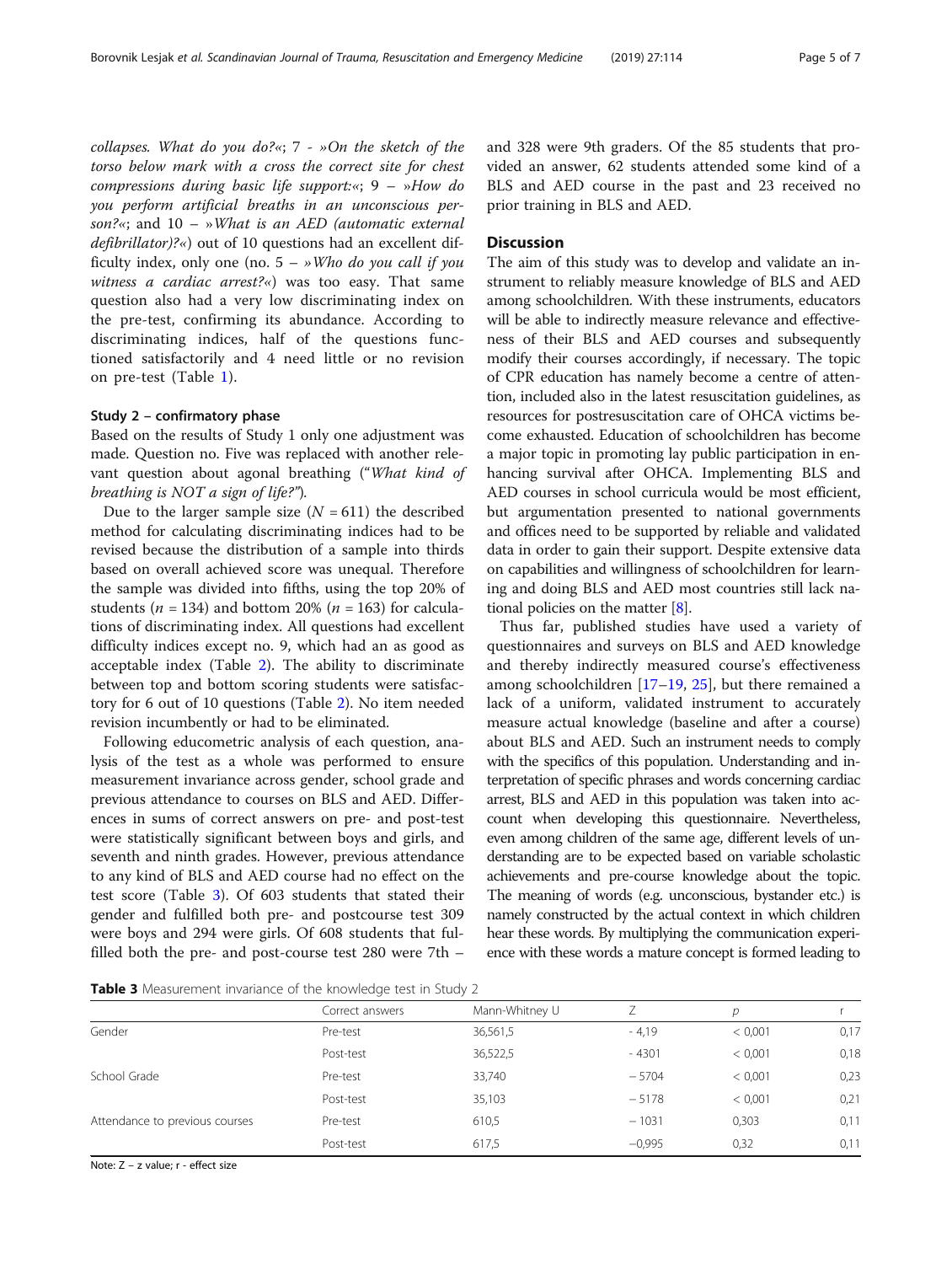collapses. What do you do?«;  $7 - \sqrt{D}$  the sketch of the torso below mark with a cross the correct site for chest compressions during basic life support:«;  $9 - \frac{1}{2}$ How do you perform artificial breaths in an unconscious person?«; and  $10 - wWhat$  is an AED (automatic external defibrillator)?«) out of 10 questions had an excellent difficulty index, only one (no.  $5 - w$ Who do you call if you witness a cardiac arrest?«) was too easy. That same question also had a very low discriminating index on the pre-test, confirming its abundance. According to discriminating indices, half of the questions functioned satisfactorily and 4 need little or no revision on pre-test (Table [1\)](#page-2-0).

#### Study 2 – confirmatory phase

Based on the results of Study 1 only one adjustment was made. Question no. Five was replaced with another relevant question about agonal breathing ("What kind of breathing is NOT a sign of life?").

Due to the larger sample size  $(N = 611)$  the described method for calculating discriminating indices had to be revised because the distribution of a sample into thirds based on overall achieved score was unequal. Therefore the sample was divided into fifths, using the top 20% of students ( $n = 134$ ) and bottom 20% ( $n = 163$ ) for calculations of discriminating index. All questions had excellent difficulty indices except no. 9, which had an as good as acceptable index (Table [2\)](#page-3-0). The ability to discriminate between top and bottom scoring students were satisfactory for 6 out of 10 questions (Table [2\)](#page-3-0). No item needed revision incumbently or had to be eliminated.

Following educometric analysis of each question, analysis of the test as a whole was performed to ensure measurement invariance across gender, school grade and previous attendance to courses on BLS and AED. Differences in sums of correct answers on pre- and post-test were statistically significant between boys and girls, and seventh and ninth grades. However, previous attendance to any kind of BLS and AED course had no effect on the test score (Table 3). Of 603 students that stated their gender and fulfilled both pre- and postcourse test 309 were boys and 294 were girls. Of 608 students that fulfilled both the pre- and post-course test 280 were 7th –

and 328 were 9th graders. Of the 85 students that provided an answer, 62 students attended some kind of a BLS and AED course in the past and 23 received no prior training in BLS and AED.

## **Discussion**

The aim of this study was to develop and validate an instrument to reliably measure knowledge of BLS and AED among schoolchildren. With these instruments, educators will be able to indirectly measure relevance and effectiveness of their BLS and AED courses and subsequently modify their courses accordingly, if necessary. The topic of CPR education has namely become a centre of attention, included also in the latest resuscitation guidelines, as resources for postresuscitation care of OHCA victims become exhausted. Education of schoolchildren has become a major topic in promoting lay public participation in enhancing survival after OHCA. Implementing BLS and AED courses in school curricula would be most efficient, but argumentation presented to national governments and offices need to be supported by reliable and validated data in order to gain their support. Despite extensive data on capabilities and willingness of schoolchildren for learning and doing BLS and AED most countries still lack national policies on the matter [\[8\]](#page-6-0).

Thus far, published studies have used a variety of questionnaires and surveys on BLS and AED knowledge and thereby indirectly measured course's effectiveness among schoolchildren [\[17](#page-6-0)–[19,](#page-6-0) [25\]](#page-6-0), but there remained a lack of a uniform, validated instrument to accurately measure actual knowledge (baseline and after a course) about BLS and AED. Such an instrument needs to comply with the specifics of this population. Understanding and interpretation of specific phrases and words concerning cardiac arrest, BLS and AED in this population was taken into account when developing this questionnaire. Nevertheless, even among children of the same age, different levels of understanding are to be expected based on variable scholastic achievements and pre-course knowledge about the topic. The meaning of words (e.g. unconscious, bystander etc.) is namely constructed by the actual context in which children hear these words. By multiplying the communication experience with these words a mature concept is formed leading to

Table 3 Measurement invariance of the knowledge test in Study 2

|                                | Correct answers | Mann-Whitney U |          | D       |      |
|--------------------------------|-----------------|----------------|----------|---------|------|
| Gender                         | Pre-test        | 36,561,5       | $-4,19$  | < 0.001 | 0,17 |
|                                | Post-test       | 36,522,5       | $-4301$  | < 0.001 | 0,18 |
| School Grade                   | Pre-test        | 33,740         | $-5704$  | < 0.001 | 0,23 |
|                                | Post-test       | 35,103         | $-5178$  | < 0.001 | 0,21 |
| Attendance to previous courses | Pre-test        | 610,5          | $-1031$  | 0,303   | 0,11 |
|                                | Post-test       | 617,5          | $-0.995$ | 0,32    | 0,11 |

Note: Z – z value; r - effect size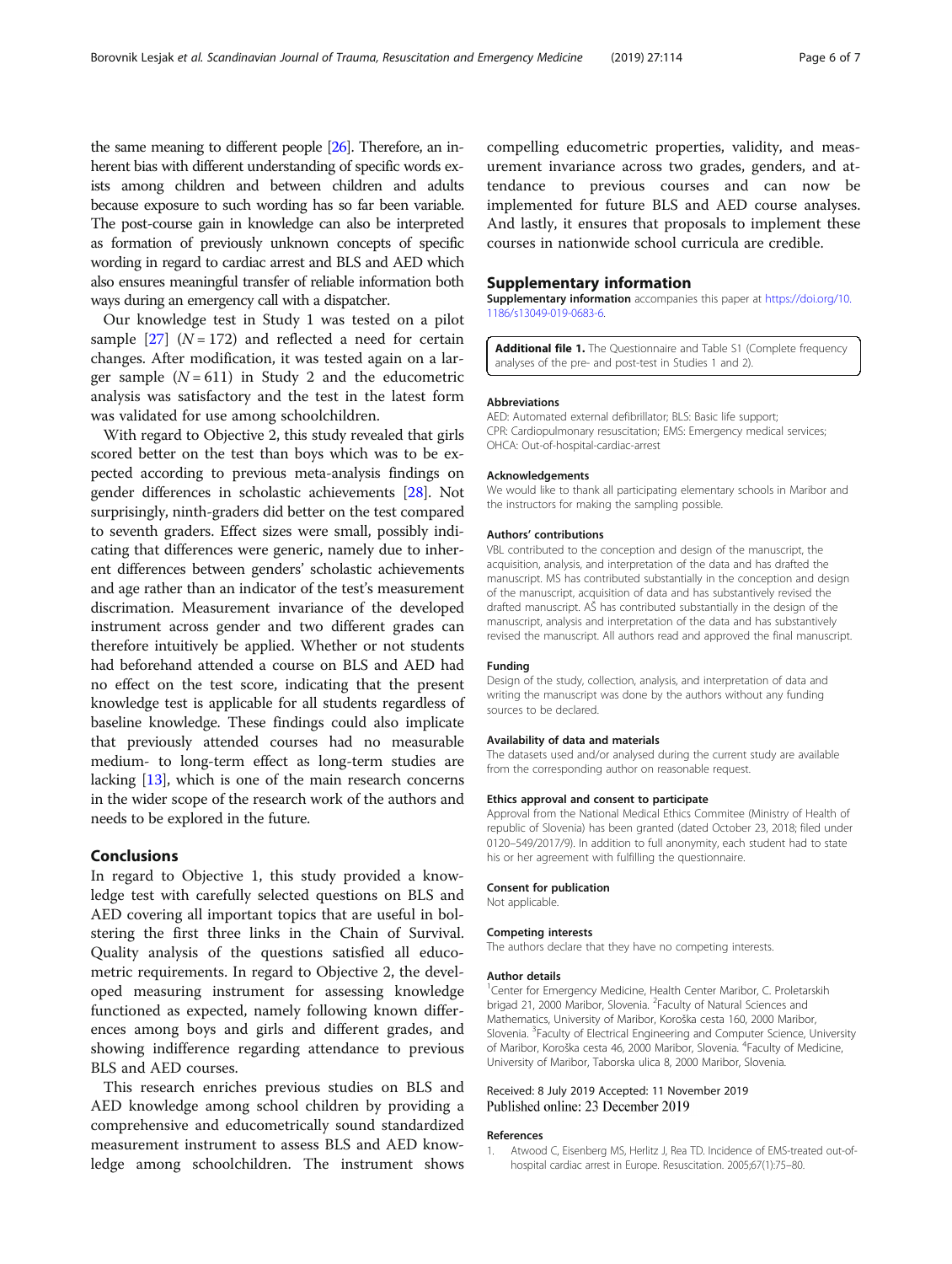<span id="page-5-0"></span>the same meaning to different people [\[26\]](#page-6-0). Therefore, an inherent bias with different understanding of specific words exists among children and between children and adults because exposure to such wording has so far been variable. The post-course gain in knowledge can also be interpreted as formation of previously unknown concepts of specific wording in regard to cardiac arrest and BLS and AED which also ensures meaningful transfer of reliable information both ways during an emergency call with a dispatcher.

Our knowledge test in Study 1 was tested on a pilot sample  $[27]$  (N = 172) and reflected a need for certain changes. After modification, it was tested again on a larger sample  $(N = 611)$  in Study 2 and the educometric analysis was satisfactory and the test in the latest form was validated for use among schoolchildren.

With regard to Objective 2, this study revealed that girls scored better on the test than boys which was to be expected according to previous meta-analysis findings on gender differences in scholastic achievements [\[28\]](#page-6-0). Not surprisingly, ninth-graders did better on the test compared to seventh graders. Effect sizes were small, possibly indicating that differences were generic, namely due to inherent differences between genders' scholastic achievements and age rather than an indicator of the test's measurement discrimation. Measurement invariance of the developed instrument across gender and two different grades can therefore intuitively be applied. Whether or not students had beforehand attended a course on BLS and AED had no effect on the test score, indicating that the present knowledge test is applicable for all students regardless of baseline knowledge. These findings could also implicate that previously attended courses had no measurable medium- to long-term effect as long-term studies are lacking [[13](#page-6-0)], which is one of the main research concerns in the wider scope of the research work of the authors and needs to be explored in the future.

#### Conclusions

In regard to Objective 1, this study provided a knowledge test with carefully selected questions on BLS and AED covering all important topics that are useful in bolstering the first three links in the Chain of Survival. Quality analysis of the questions satisfied all educometric requirements. In regard to Objective 2, the developed measuring instrument for assessing knowledge functioned as expected, namely following known differences among boys and girls and different grades, and showing indifference regarding attendance to previous BLS and AED courses.

This research enriches previous studies on BLS and AED knowledge among school children by providing a comprehensive and educometrically sound standardized measurement instrument to assess BLS and AED knowledge among schoolchildren. The instrument shows compelling educometric properties, validity, and measurement invariance across two grades, genders, and attendance to previous courses and can now be implemented for future BLS and AED course analyses. And lastly, it ensures that proposals to implement these courses in nationwide school curricula are credible.

#### Supplementary information

Supplementary information accompanies this paper at [https://doi.org/10.](https://doi.org/10.1186/s13049-019-0683-6) [1186/s13049-019-0683-6.](https://doi.org/10.1186/s13049-019-0683-6)

Additional file 1. The Questionnaire and Table S1 (Complete frequency analyses of the pre- and post-test in Studies 1 and 2).

#### Abbreviations

AED: Automated external defibrillator; BLS: Basic life support; CPR: Cardiopulmonary resuscitation; EMS: Emergency medical services; OHCA: Out-of-hospital-cardiac-arrest

#### Acknowledgements

We would like to thank all participating elementary schools in Maribor and the instructors for making the sampling possible.

#### Authors' contributions

VBL contributed to the conception and design of the manuscript, the acquisition, analysis, and interpretation of the data and has drafted the manuscript. MS has contributed substantially in the conception and design of the manuscript, acquisition of data and has substantively revised the drafted manuscript. AŠ has contributed substantially in the design of the manuscript, analysis and interpretation of the data and has substantively revised the manuscript. All authors read and approved the final manuscript.

#### Funding

Design of the study, collection, analysis, and interpretation of data and writing the manuscript was done by the authors without any funding sources to be declared.

#### Availability of data and materials

The datasets used and/or analysed during the current study are available from the corresponding author on reasonable request.

#### Ethics approval and consent to participate

Approval from the National Medical Ethics Commitee (Ministry of Health of republic of Slovenia) has been granted (dated October 23, 2018; filed under 0120–549/2017/9). In addition to full anonymity, each student had to state his or her agreement with fulfilling the questionnaire.

#### Consent for publication

Not applicable.

#### Competing interests

The authors declare that they have no competing interests.

#### Author details

<sup>1</sup> Center for Emergency Medicine, Health Center Maribor, C. Proletarskih brigad 21, 2000 Maribor, Slovenia. <sup>2</sup> Faculty of Natural Sciences and Mathematics, University of Maribor, Koroška cesta 160, 2000 Maribor, Slovenia. <sup>3</sup>Faculty of Electrical Engineering and Computer Science, University of Maribor, Koroška cesta 46, 2000 Maribor, Slovenia. <sup>4</sup>Faculty of Medicine University of Maribor, Taborska ulica 8, 2000 Maribor, Slovenia.

#### Received: 8 July 2019 Accepted: 11 November 2019 Published online: 23 December 2019

#### References

1. Atwood C, Eisenberg MS, Herlitz J, Rea TD. Incidence of EMS-treated out-ofhospital cardiac arrest in Europe. Resuscitation. 2005;67(1):75–80.